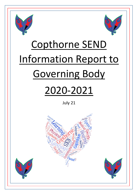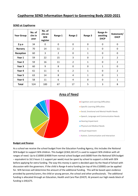# **Copthorne SEND Information Report to Governing Body 2020-2021**

## **SEND at Copthorne**

| <b>Year Group</b> | No. of<br>chn in<br>year | No. of<br>chn on<br><b>SEN</b><br>register | Range 1        | Range 2        | Range 3      | Range 4+<br>awaiting<br><b>EHCP</b> | Statement/<br><b>EHCP</b> |
|-------------------|--------------------------|--------------------------------------------|----------------|----------------|--------------|-------------------------------------|---------------------------|
| 2.y.o             | 34                       | 0                                          | $\mathbf 0$    | 0              | $\mathbf 0$  | $\mathbf 0$                         | $\mathbf 0$               |
| <b>Nursery</b>    | 70                       | 14                                         | 11             | $\overline{2}$ | $\mathbf{1}$ | 0                                   | 0                         |
| Reception         | 60                       | 3                                          | $\overline{2}$ | 0              | $\mathbf{1}$ | 0                                   | $\pmb{0}$                 |
| Year 1            | 59                       | 22                                         | 15             | 3              | 0            | $\overline{2}$                      | $\overline{2}$            |
| Year <sub>2</sub> | 59                       | 16                                         | 11             | $\overline{2}$ | 1            | 0                                   | $\overline{2}$            |
| Year 3            | 60                       | 9                                          | 8              | $\mathbf 0$    | $\mathbf{0}$ | $\mathbf{1}$                        | 0                         |
| Year 4            | 61                       | 11                                         | 6              | $\overline{2}$ | $\mathbf{1}$ | 0                                   | $\overline{2}$            |
| Year 5            | 63                       | 14                                         | 8              | 4              | 1            | 0                                   | 1                         |
| Year 6            | 58                       | 11                                         | 6              | 4              | 0            | $\mathbf 0$                         | $\mathbf{1}$              |
| <b>Total</b>      | 524                      | 100                                        | 67             | 17             | 5            | 3                                   | 8                         |





#### **Budget and finance**

As a school we receive the school budget from the Education Funding Agency, this includes the Notional SEN budget to support SEN children. This budget (£363,163.47) is used to support SEN children with all ranges of need. Up to £10000 (£4000 from normal school budget and £6000 from the Notional SEN budget – equivalent to 16.5 hours 1:1 support per week) must be spent by school to support a child with SEN before applying for extra funding. The way this money is spent is decided upon by the Head of School with discussion with the governors. If the child is Range 4 extra funding (on top of this £10000) can be applied for. SEN Services will determine the amount of the additional funding. This will be based upon evidence provided by parents/carers, the child or young person, the school and other professionals. The additional funding is allocated through an Education, Health and Care Plan (EHCP). At present our high needs block of funding is £40,675.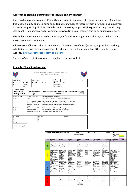#### **Approach to teaching, adaptation of curriculum and environment**

Class teachers plan lessons and differentiate according to the needs of children in their class. Sometimes this means simplifying a task, arranging alternative methods of recording, providing additional equipment or resources, grouping children carefully, and/or deploying support staff to give extra help. A child may also benefit from personalised programmes delivered in a small group, a pair, or on an individual basis.

IEPs and provision maps are used to write targets for children Range 2+ and all Range 1 children have a provision map and evaluation.

A breakdown of how Copthorne can meet each different area of need (including approach to teaching, adaptation or curriculum and provision) at each range can be found in our Local Offer on the school website. (https://copthorneacademy.co.uk/send/)

The school's accessibility plan can be found on the school website.

#### **Example IEP and Provision map**

Education Bradford - Individual Education Plan (IEP) Copthorne Primary School

| Name: XXXX |          | Class: XXXX              | <b>SEN</b>          |  | $4+$ |
|------------|----------|--------------------------|---------------------|--|------|
|            |          |                          | Status              |  |      |
| DoB:       | Date IEP | Date IEP to be reviewed: | Class teacher: XXXX |  |      |
| <b>XXX</b> | started: |                          | Year group: X       |  |      |
|            | XXX      |                          | IEP number: X       |  |      |
|            |          |                          |                     |  |      |

| <b>Annual Targets</b>    |                                             |            |                                                                  |                                  |            |
|--------------------------|---------------------------------------------|------------|------------------------------------------------------------------|----------------------------------|------------|
| Objective/Special        | Targets/Goals for this                      |            | Action: Description of the type of strategies and provision for  |                                  | A-Achieved |
| <b>Educational Needs</b> | IEP                                         |            | each objective                                                   | B - In parts<br>N - Not achieved |            |
| To: -                    | To:                                         |            |                                                                  |                                  | Date       |
| To develop writing       | To spell HFWs correctly                     |            | HFWs given weekly as spellings.                                  |                                  |            |
| skills                   | (70%)                                       |            | HFW spelling mat on table to access independently.               |                                  |            |
|                          |                                             |            |                                                                  |                                  |            |
|                          | To use capital letters and                  |            | Discuss a picture - write just one sentence - check it has a     |                                  |            |
|                          | full stops independently                    |            | capital letter and full stop to make it perfect then say another |                                  |            |
|                          | in writing 2 sentences.                     |            | sentence about the picture. - write this down and repeat.        |                                  |            |
|                          | (50%)                                       |            |                                                                  |                                  |            |
| To develop fine motor    | To form letters which                       |            | Write from the start 3x weekly during register time.             |                                  |            |
| skills                   | have descenders<br>correctly in writing 70% |            | CVC word tree – create then copy for formation                   |                                  |            |
|                          |                                             |            | Use of pencil grip to develop control                            |                                  |            |
|                          | of the time.                                |            |                                                                  |                                  |            |
|                          |                                             |            |                                                                  |                                  |            |
| Entry Data:              |                                             | Exit Data: |                                                                  | Progress:                        |            |
| $D =$                    |                                             | D          |                                                                  |                                  |            |

| Entry Data:             | Exit Data: | Progress: |
|-------------------------|------------|-----------|
| $R =$                   | R          |           |
| $W =$                   | W          |           |
| $M =$                   | M          |           |
| Parent/ Carer comments: |            |           |
|                         |            |           |
| Parent/ Carer signed:   |            |           |
|                         |            |           |

| <b>Copthorne Primary Individual Provision Map</b> |                                                                                                                                                                                                                                        |                                                                                                                                                                                                   |                                                                                                                                                                                                                                            | Name:<br>DOB:<br>Year:                                                                                                                                 |                                                                                                             |                                                                                                                                                                                     |                                                                                                                                                                                                                             | Range: 1/2/3/4+ |                                                                                                                                                                                                                                                                   |       |
|---------------------------------------------------|----------------------------------------------------------------------------------------------------------------------------------------------------------------------------------------------------------------------------------------|---------------------------------------------------------------------------------------------------------------------------------------------------------------------------------------------------|--------------------------------------------------------------------------------------------------------------------------------------------------------------------------------------------------------------------------------------------|--------------------------------------------------------------------------------------------------------------------------------------------------------|-------------------------------------------------------------------------------------------------------------|-------------------------------------------------------------------------------------------------------------------------------------------------------------------------------------|-----------------------------------------------------------------------------------------------------------------------------------------------------------------------------------------------------------------------------|-----------------|-------------------------------------------------------------------------------------------------------------------------------------------------------------------------------------------------------------------------------------------------------------------|-------|
|                                                   |                                                                                                                                                                                                                                        |                                                                                                                                                                                                   |                                                                                                                                                                                                                                            | Cognition and Learning                                                                                                                                 |                                                                                                             |                                                                                                                                                                                     | Key - highlight<br>Term 1<br>Term 2<br>Term 3                                                                                                                                                                               |                 |                                                                                                                                                                                                                                                                   |       |
| Range                                             | Speaking &<br>Listening                                                                                                                                                                                                                | <b>Reading</b>                                                                                                                                                                                    | <b>Writing &amp;</b><br><b>Spelling</b>                                                                                                                                                                                                    | <b>Teaching</b><br><b>Methods</b>                                                                                                                      | Numeracy                                                                                                    | Communication<br>& interaction                                                                                                                                                      | <b>Social Emotional</b><br>& Behaviour                                                                                                                                                                                      |                 | Sensory, Physical,<br><b>Medical</b>                                                                                                                                                                                                                              | Other |
| $\overline{\phantom{0}}$<br><b>Range</b>          | Oral stories<br>Circle time<br><b>Targeted questioning</b><br>Talking partner<br>101 cames for social<br>skills                                                                                                                        | Monitoring of raving<br>readers<br>Reading guidance to<br>parents<br>Guided reading (1:6)<br>Targeted HFW's<br>Reading Buddies                                                                    | Writing frames<br>Pencil erios<br>Write from the start<br>Alphabet arc                                                                                                                                                                     | $QFT -$<br>differentiated<br>planning<br>Increase use of<br>visual aids<br>Access to practical<br>resources<br>Mnemonics                               | Practical apparatus<br>Class interventions<br>Ability erouping<br>Visual and interactive<br>resources       | KS1 Time to talk<br>KS2 socially speaking<br>101 earnes for social<br>skills                                                                                                        | PSHCE-SEAL<br>Whole school reward<br>policy<br>Charts<br>Classroom rules<br>Circle time<br>101 games for social<br>skills                                                                                                   |                 | Care plan - epi pen, diabetes<br>Parent liaison<br>Write from the start                                                                                                                                                                                           |       |
| $\sim$<br>Range <sup>1</sup>                      | Small group oral stories<br>$11:6$ 11 ow<br>Small group circle time<br>$(1:8)$ 1pw<br>Narrative Therapy<br>3pw<br>Language group 1pw<br>101 games for social<br>skills<br>4 step sequence cards<br>Memory cards                        | Small group phonics<br>and phonic games<br>Additional guided<br>reading<br>1:1 reading<br>Alphabet arc<br>Beat Dyslexia<br>programme<br>See and learn<br>IDL cloud                                | Occupational therapy<br>activities for fine<br>motor skills<br>Motor skills group 2pw<br>Write from the start<br>Jungle journey F/S &<br>KS1<br>Speed up KS2<br>Alphabet arc<br>See and learn<br><b>IDL</b> cloud                          | Class interventions<br>Differentiated<br>resources<br>ICT support<br>Multisensory<br>learning<br>Visual timetables                                     | Focussed small group<br>support<br>Numicon<br>RM maths<br>Mathletics                                        | Playtime befrienders<br>KS1 Time to talk<br>KS2 socially speaking<br>Social skills small<br>groups<br>101 games for social<br>skills                                                | Lunchtime support-<br>hefrienders<br>LM activities/clubs at<br>lunchtime<br>101 games for social<br>skills.<br>Circle time                                                                                                  |                 | Motor skills group<br>Monitoring by school nurse<br>Advice from outside<br>agencies<br>Specialist resources<br>Write from the start<br>Jungle journey FS & KS1<br>Speed up KS2<br>Writing slopes<br>Pencil grips<br>Brain gym                                     |       |
| m<br>Range <sup></sup>                            | Small group oral stories<br>(1:4)2ow<br>Time to talk (1:4)<br>$2-3$ pw<br>Socially speaking KS2<br>$(1:4)$ 2-3pw<br>S&L recommended<br>activities (1:1) 3pw<br>101 cames for social<br>skills<br>4 step sequence cards<br>Memory cards | Daily blending and<br>segmenting activities<br>- word books<br>1:1 reading daily<br>Toe by Toe<br>Beat Dyslexia<br>programme<br>Ind tatgets &<br>precision teaching<br>See and learn<br>IDL cloud | Visual aids<br>Dyslexia programme<br>Beat Dyslexia<br>Ind targets-precision<br>teaching<br>Toe by Toe<br>Booster phonics<br>Perfect sentences<br>Juncle journey F/S &<br>KS1<br>Speed up KS2<br>Alphabet arc<br>See and learn<br>IDL cloud | Modified tasks<br>Ind targets<br>VAK<br>Multi sensory<br>learning<br>Precision teaching<br>Visual timetables                                           | Ind targets-<br>precision teaching<br>Modified tasks<br>Numienn<br>Dynamo maths                             | KS2 home school<br>diary<br>Visual timetable<br>1:1 with Learning<br>Mentors<br>Speech & Lang ind<br>programme<br>Playtime monitoring<br>101 earnes for social<br>skills<br>Makaton | Regular access to<br>lunchtime activities<br>Small eroup circle<br>101 games for social<br>skills<br>time 1:4 2ow<br>Anger management-<br>ШÑ<br>Ind reward charts<br>Circle of friends<br>Time to talk<br>Indeo counselline |                 | Assessment and support<br>from health agencies<br>Motor skills eroup<br>Access to space in school<br>Specialist resources<br>Write from the start<br>Jungle journey FS & KS1<br>Speed up KS2<br>Writing slopes<br>Pencil grips<br>Moving and handling<br>training |       |
| Range 4+                                          | Individual programme                                                                                                                                                                                                                   | Daily individual<br>programme and<br>recommended<br>targets - precision<br>teaching<br>See and learn                                                                                              | Daily individual<br>programme and<br>recommended targets<br>- precision teaching<br>See and learn                                                                                                                                          | Small steps 1:1<br>teaching<br>Repetition &<br>consolidation<br>Teach to learning<br>style<br>Ind targets -<br>Precision teaching<br>Visual timetables | Ind programme-<br>numicon<br>Daily repetition and<br>consolidation<br>Precision teaching<br>Practical maths | Intensive interaction<br>Playtime support<br>Makaton                                                                                                                                | 1:1 behaviour<br>programme<br>Anger management-<br><b>LM</b><br><b>FBD</b> services<br>intervention<br>Retreat                                                                                                              |                 | Time and support allocated<br>for individual health or<br>exercise programme<br>1:1 lunchtime support<br>1:1 medical/toileting<br>Ind motor skills programme                                                                                                      |       |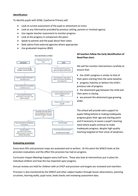#### **Identification**

To identify pupils with SEND, Copthorne Primary will:

- Look at current assessment of the pupil or attainment on entry
- Look at any information provided by previous setting, parents or involved agency
- Use regular teacher assessment to monitor progress
- Look at the progress in comparison the peers
- Speak to parents and the pupil about their views
- Seek advice from external agencies where appropriate
- Use graduated response (BSO)



## **All teachers follow the Early Identification of Need flow chart.**

We will the monitor interventions carefully to ensure that:

- the child's progress is similar to that of their peers starting from the same baseline
- progress matches or betters the child's previous rate of progress
- the attainment gap between the child and their peers is closing
- we prevent the attainment gap growing wider

The school will provide extra support to pupils falling behind or making inadequate progress given their age and starting point and if necessary re-assess a pupil's learning need where pupils continue to make inadequate progress, despite high-quality teaching targeted at their areas of weakness.

#### **Evaluating provision**

Every term IEPs and provision maps are evaluated and re-written. At this point the SENCO looks at the provision evaluations and the effect this provision has had on progress.

Curriculum Impact Meetings happen every half term. These also look at interventions put in place for individual children and how this has impacted upon progress.

Annual reviews are held for children with an EHCP and provision and targets are reviewed and rewritten.

Provision is also monitored by the SENCO and other subject leaders through lesson observations, planning scrutinies, learning walks, pupil voice, book checks and reviewing assessment data.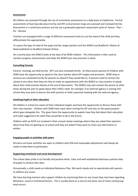## **Assessment**

All children are assessed through the use of summative assessment on a daily basis at Copthorne. Formal assessments of learning take place termly and IEPs and provision maps are assessed and reviewed termly. Assessment is a continuous process and we use a graduated approach assessment cycle of: Assess - Plan – Do – Review.

Teachers are equipped with a range of different assessment tools to suit the need of the child and they differentiate this appropriately.

To assess the type of need of the pupil and the range teachers and the SENCO use Bradford's Matrix of Need published on Bradford Schools Online.

On a termly basis the SENCO looks at the data of all SEND children. This information is then used to monitor progress and provision and helps the SENCO put new provision is place.

## **Consulting Parents**

Parents' evenings are held termly. IEP's are also reviewed termly. At these points parents of children with SEND have the opportunity to speak to the class teacher about IEP targets and provision. SEND drop in sessions are scheduled termly for parents to attend if they would like to. If parents need to contact the school at any other time they are free to make an appointment with the SENCO or class teacher to speak about their child (contact details at the end of document). The SENCO may also contact the parent at other times during the year to speak about their child's need, for example, if an external agency is coming into school they may wish to discuss this with parents or hold a parental meeting with the external agency.

#### **Involving Pupils in their education**

All children in school are aware of their individual targets and have the opportunity to discuss these with their class teacher. Children with SEND have input when writing the IEP and also on the pupil passport which goes alongside this. This gives them the opportunity to explain how they feel about their education and make suggestions for what they would like to do in the future.

Children with an EHCP are involved in their annual review meetings where they are asked their opinions about how they are getting on at school and they are asked if they want to share any information or wishes.

#### **Engaging pupils in activities with peers**

All extra-curricular activities are open to children with SEN and reasonable adjustments will always be made to help them to participate.

#### **Supporting emotional and social development**

The school takes pride in its friendly and positive ethos. Clear and well-established behaviour policies help all pupils to achieve their best.

Occasionally, a child needs an Individual Behaviour Plan. We work closely and co-operatively with parents to address any issues.

We have learning mentors who support children by mentoring them on any issues they may have regarding behaviour, social or emotional factors. This is usually done on a one-to-one basis, but at times small group work occurs.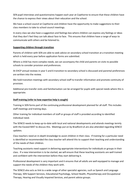SEN pupil interviews and questionnaires happen each year at Copthorne to ensure that these children have the chance to express their views about their education and the school.

We have a school council at Copthorne and children have the opportunity to make suggestions to their class members to take to school council meetings.

In every class we also have a suggestion and feelings box where children can express any feelings or ideas that they don't feel they can talk about face to face. This ensures that children have a range of ways to communicate with others and be listened to.

## **Supporting children through transition**

Parents of children with SEN are able to seek advice on secondary school transition at a transition meeting which is held every year before application forms are submitted.

Where a child has more complex needs, we can accompany the child and parents on visits to possible schools to consider provision and preferences.

At EHCP annual reviews in year 5 and 6 transition to secondary school is discussed and parental preferences are written into the review.

We hold transition meetings with secondary school staff to transfer information and promote continuity of provision.

Additional pre-transfer visits and familiarisation can be arranged for pupils with special needs where this is appropriate.

## **Staff training (refer to how expertise help is sought)**

Training in SEN forms part of the continuing professional development planned for all staff. This includes staff meetings and training days.

Other training for individual members of staff or groups of staff is provided according to identified individual need.

The SENCO needs to keep up-to-date with local and national developments and attends meetings termly with the Exceed MAT to discuss this. Meetings put on by Bradford LA are also attended regarding SENCO updates.

Class teachers need an in-depth knowledge to assist children in their class. If training for a particular need is identified or recommended the class teacher will attend this to support their teaching and understanding of the needs of their children.

Teaching assistants need support in delivering appropriate interventions for individuals or groups in their class. If a new intervention is to be started, we will ensure that these teaching assistants are well trained and confident with the intervention before they start delivering it.

Professional development is very important and it ensures that all adults are well equipped to manage and support the needs of the children they work with.

The SENCO also acts as link to a wide range of other specialist agencies, such as Speech and Language Therapy, SEN Support Services, Educational Psychology, School Health, Physiotherapy and Occupational Therapy, Hearing and Visually Impaired Services, and parent advice groups.